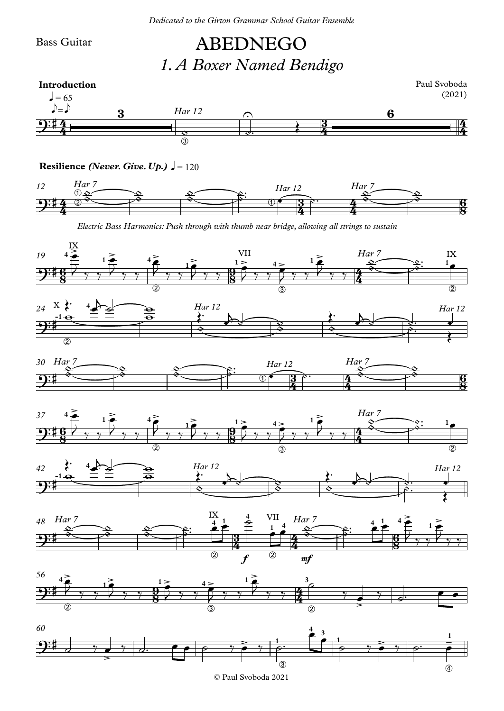Bass Guitar

## ABEDNEGO *1.A Boxer Named Bendigo*



**Resilience** *(Never. Give. Up.)*  $\sqrt{ } = 120$ 



*Electric Bass Harmonics: Push through with thumb near bridge, allowing all strings to sustain*



© Paul Svoboda 2021